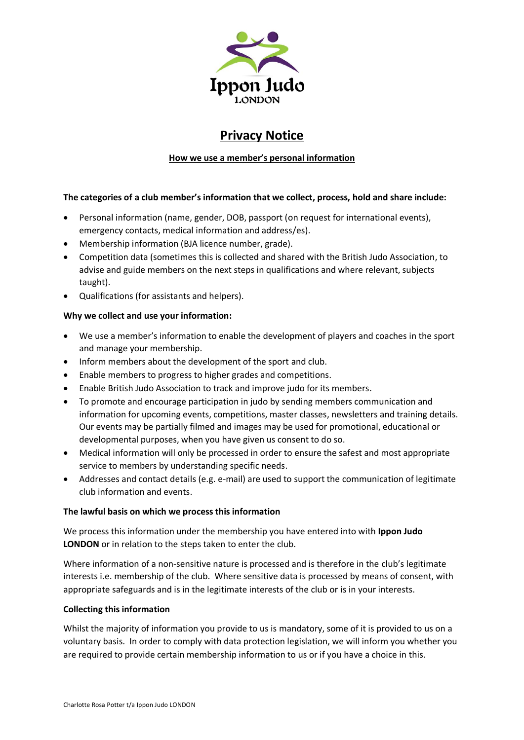

# **Privacy Notice**

# **How we use a member's personal information**

# **The categories of a club member's information that we collect, process, hold and share include:**

- Personal information (name, gender, DOB, passport (on request for international events), emergency contacts, medical information and address/es).
- Membership information (BJA licence number, grade).
- Competition data (sometimes this is collected and shared with the British Judo Association, to advise and guide members on the next steps in qualifications and where relevant, subjects taught).
- Qualifications (for assistants and helpers).

# **Why we collect and use your information:**

- We use a member's information to enable the development of players and coaches in the sport and manage your membership.
- Inform members about the development of the sport and club.
- Enable members to progress to higher grades and competitions.
- Enable British Judo Association to track and improve judo for its members.
- To promote and encourage participation in judo by sending members communication and information for upcoming events, competitions, master classes, newsletters and training details. Our events may be partially filmed and images may be used for promotional, educational or developmental purposes, when you have given us consent to do so.
- Medical information will only be processed in order to ensure the safest and most appropriate service to members by understanding specific needs.
- Addresses and contact details (e.g. e-mail) are used to support the communication of legitimate club information and events.

## **The lawful basis on which we process this information**

We process this information under the membership you have entered into with **Ippon Judo LONDON** or in relation to the steps taken to enter the club.

Where information of a non-sensitive nature is processed and is therefore in the club's legitimate interests i.e. membership of the club. Where sensitive data is processed by means of consent, with appropriate safeguards and is in the legitimate interests of the club or is in your interests.

# **Collecting this information**

Whilst the majority of information you provide to us is mandatory, some of it is provided to us on a voluntary basis. In order to comply with data protection legislation, we will inform you whether you are required to provide certain membership information to us or if you have a choice in this.